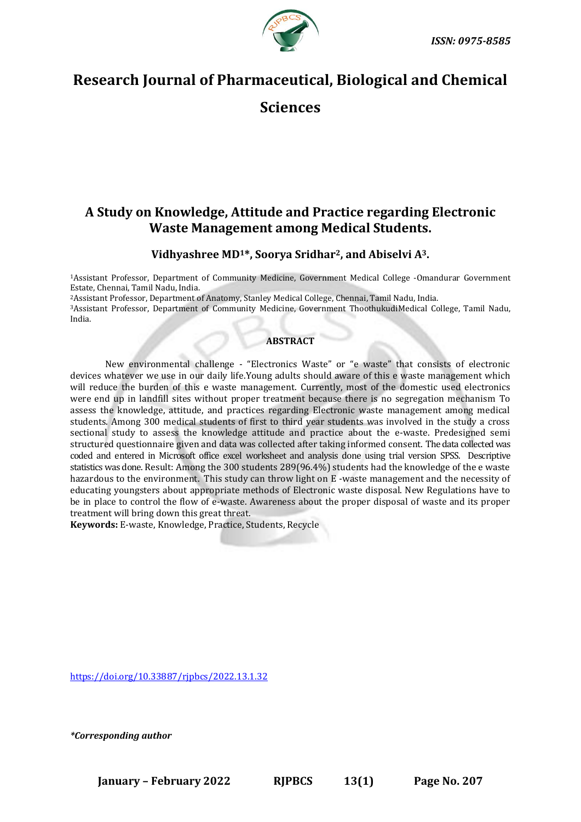

# **Research Journal of Pharmaceutical, Biological and Chemical**

**Sciences**

# **A Study on Knowledge, Attitude and Practice regarding Electronic Waste Management among Medical Students.**

## **Vidhyashree MD1\*, Soorya Sridhar2, and Abiselvi A3.**

<sup>1</sup>Assistant Professor, Department of Community Medicine, Government Medical College -Omandurar Government Estate, Chennai, Tamil Nadu, India.

<sup>2</sup>Assistant Professor, Department of Anatomy, Stanley Medical College, Chennai, Tamil Nadu, India.

<sup>3</sup>Assistant Professor, Department of Community Medicine, Government ThoothukudiMedical College, Tamil Nadu, India.

## **ABSTRACT**

New environmental challenge - "Electronics Waste" or "e waste" that consists of electronic devices whatever we use in our daily life.Young adults should aware of this e waste management which will reduce the burden of this e waste management. Currently, most of the domestic used electronics were end up in landfill sites without proper treatment because there is no segregation mechanism To assess the knowledge, attitude, and practices regarding Electronic waste management among medical students. Among 300 medical students of first to third year students was involved in the study a cross sectional study to assess the knowledge attitude and practice about the e-waste. Predesigned semi structured questionnaire given and data was collected after taking informed consent. The data collected was coded and entered in Microsoft office excel worksheet and analysis done using trial version SPSS. Descriptive statistics was done. Result: Among the 300 students 289(96.4%) students had the knowledge of the e waste hazardous to the environment. This study can throw light on E -waste management and the necessity of educating youngsters about appropriate methods of Electronic waste disposal. New Regulations have to be in place to control the flow of e-waste. Awareness about the proper disposal of waste and its proper treatment will bring down this great threat.

**Keywords:** E-waste, Knowledge, Practice, Students, Recycle

[https://doi.org/10.33887/rjpbcs/2022.13.1.32](https://doi.org/10.33887/rjpbcs/2022.13.1.31)

*\*Corresponding author*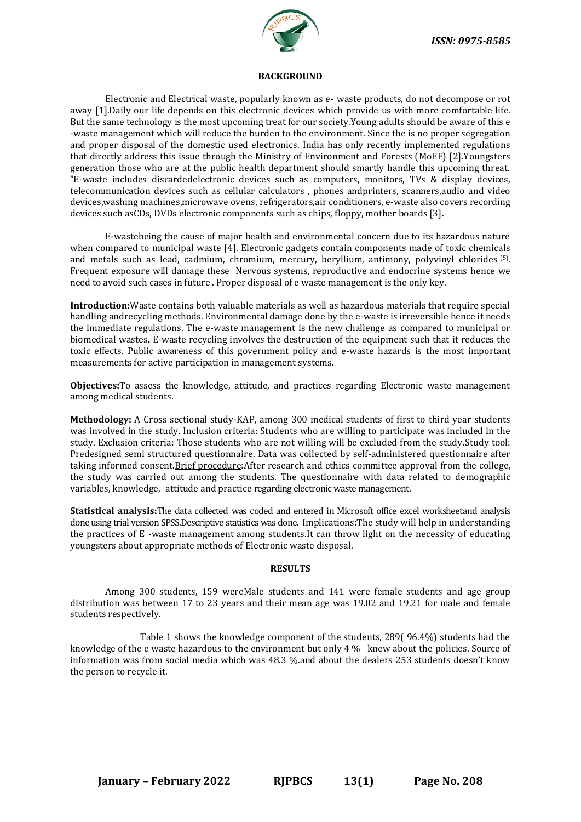

#### **BACKGROUND**

Electronic and Electrical waste, popularly known as e- waste products, do not decompose or rot away [1].Daily our life depends on this electronic devices which provide us with more comfortable life. But the same technology is the most upcoming treat for our society.Young adults should be aware of this e -waste management which will reduce the burden to the environment. Since the is no proper segregation and proper disposal of the domestic used electronics. India has only recently implemented regulations that directly address this issue through the Ministry of Environment and Forests (MoEF) [2].Youngsters generation those who are at the public health department should smartly handle this upcoming threat. "E-waste includes discardedelectronic devices such as computers, monitors, TVs & display devices, telecommunication devices such as cellular calculators , phones andprinters, scanners,audio and video devices,washing machines,microwave ovens, refrigerators,air conditioners, e-waste also covers recording devices such asCDs, DVDs electronic components such as chips, floppy, mother boards [3].

E-wastebeing the cause of major health and environmental concern due to its hazardous nature when compared to municipal waste [4]. Electronic gadgets contain components made of toxic chemicals and metals such as lead, cadmium, chromium, mercury, beryllium, antimony, polyvinyl chlorides (5) . Frequent exposure will damage these Nervous systems, reproductive and endocrine systems hence we need to avoid such cases in future . Proper disposal of e waste management is the only key.

**Introduction:**Waste contains both valuable materials as well as hazardous materials that require special handling andrecycling methods. Environmental damage done by the e-waste is irreversible hence it needs the immediate regulations. The e-waste management is the new challenge as compared to municipal or biomedical wastes**.** E-waste recycling involves the destruction of the equipment such that it reduces the toxic effects. Public awareness of this government policy and e-waste hazards is the most important measurements for active participation in management systems.

**Objectives:**To assess the knowledge, attitude, and practices regarding Electronic waste management among medical students.

**Methodology:** A Cross sectional study-KAP, among 300 medical students of first to third year students was involved in the study. Inclusion criteria: Students who are willing to participate was included in the study. Exclusion criteria: Those students who are not willing will be excluded from the study.Study tool: Predesigned semi structured questionnaire. Data was collected by self-administered questionnaire after taking informed consent.Brief procedure:After research and ethics committee approval from the college, the study was carried out among the students. The questionnaire with data related to demographic variables, knowledge, attitude and practice regarding electronic waste management.

**Statistical analysis:**The data collected was coded and entered in Microsoft office excel worksheetand analysis done using trial version SPSS.Descriptive statistics was done. Implications:The study will help in understanding the practices of E -waste management among students.It can throw light on the necessity of educating youngsters about appropriate methods of Electronic waste disposal.

#### **RESULTS**

Among 300 students, 159 wereMale students and 141 were female students and age group distribution was between 17 to 23 years and their mean age was 19.02 and 19.21 for male and female students respectively.

Table 1 shows the knowledge component of the students, 289( 96.4%) students had the knowledge of the e waste hazardous to the environment but only 4 % knew about the policies. Source of information was from social media which was 48.3 %.and about the dealers 253 students doesn't know the person to recycle it.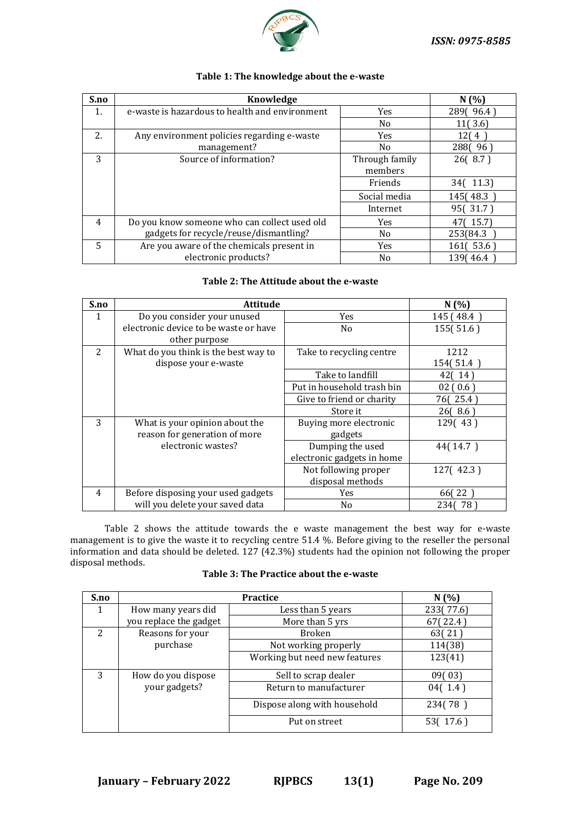

| S.no | Knowledge                                      | N(%)           |              |
|------|------------------------------------------------|----------------|--------------|
| 1.   | e-waste is hazardous to health and environment | Yes            | 2890 96.4    |
|      |                                                | No             | 11(3.6)      |
| 2.   | Any environment policies regarding e-waste     | Yes            | 12(4         |
|      | management?                                    | No             | 2880 96      |
| 3    | Source of information?                         | Through family | 26(8.7)      |
|      |                                                | members        |              |
|      |                                                | Friends        | 34(11.3)     |
|      |                                                | Social media   | 145(48.3)    |
|      |                                                | Internet       | 95(31.7)     |
| 4    | Do you know someone who can collect used old   | Yes            | 15.7         |
|      | gadgets for recycle/reuse/dismantling?         | No             | 253(84.3)    |
| 5    | Are you aware of the chemicals present in      | <b>Yes</b>     | 53.6<br>1611 |
|      | electronic products?                           | No             | 139(46.4)    |

## **Table 1: The knowledge about the e-waste**

## **Table 2: The Attitude about the e-waste**

| S.no           | <b>Attitude</b>                       |                            | N(%        |
|----------------|---------------------------------------|----------------------------|------------|
| 1              | Do you consider your unused           | <b>Yes</b>                 | 145 ( 48.4 |
|                | electronic device to be waste or have | N <sub>0</sub>             | 155(51.6)  |
|                | other purpose                         |                            |            |
| 2              | What do you think is the best way to  | Take to recycling centre   | 1212       |
|                | dispose your e-waste                  |                            | 154(51.4)  |
|                |                                       | Take to landfill           | 42(14)     |
|                |                                       | Put in household trash bin | 02(0.6)    |
|                |                                       | Give to friend or charity  | 76(25.4)   |
|                |                                       | Store it                   | 26(8.6)    |
| 3              | What is your opinion about the        | Buying more electronic     | 129(43)    |
|                | reason for generation of more         | gadgets                    |            |
|                | electronic wastes?                    | Dumping the used           | 44(14.7)   |
|                |                                       | electronic gadgets in home |            |
|                |                                       | Not following proper       | 127(42.3)  |
|                |                                       | disposal methods           |            |
| $\overline{4}$ | Before disposing your used gadgets    | <b>Yes</b>                 | 66(22)     |
|                | will you delete your saved data       | N <sub>0</sub>             | 234(78)    |

Table 2 shows the attitude towards the e waste management the best way for e-waste management is to give the waste it to recycling centre 51.4 %. Before giving to the reseller the personal information and data should be deleted. 127 (42.3%) students had the opinion not following the proper disposal methods.

| <b>Table 3: The Practice about the e-waste</b> |
|------------------------------------------------|
|                                                |

| S.no | <b>Practice</b>        |                               | N(%)      |
|------|------------------------|-------------------------------|-----------|
| 1    | How many years did     | Less than 5 years             | 233(77.6) |
|      | you replace the gadget | More than 5 yrs               | 67(22.4)  |
| 2    | Reasons for your       | <b>Broken</b>                 | 63(21)    |
|      | purchase               | Not working properly          | 114(38)   |
|      |                        | Working but need new features | 123(41)   |
| 3    | How do you dispose     | Sell to scrap dealer          | 09(03)    |
|      | your gadgets?          | Return to manufacturer        | 04(1.4)   |
|      |                        | Dispose along with household  | 234(78)   |
|      |                        | Put on street                 | 53(17.6)  |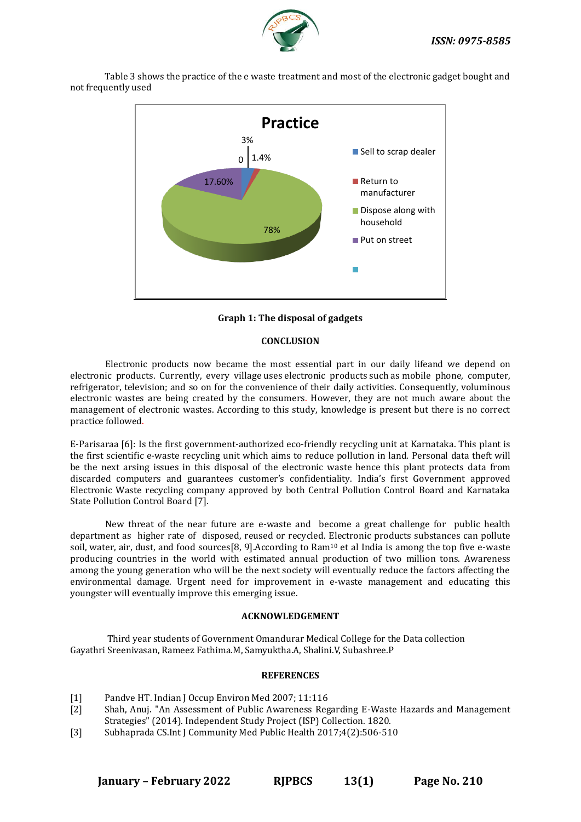

Table 3 shows the practice of the e waste treatment and most of the electronic gadget bought and not frequently used



**Graph 1: The disposal of gadgets**

## **CONCLUSION**

Electronic products now became the most essential part in our daily lifeand we depend on electronic products. Currently, every village uses electronic products such as mobile phone, computer, refrigerator, television; and so on for the convenience of their daily activities. Consequently, voluminous electronic wastes are being created by the consumers. However, they are not much aware about the management of electronic wastes. According to this study, knowledge is present but there is no correct practice followed.

E-Parisaraa [6]: Is the first government-authorized eco-friendly recycling unit at Karnataka. This plant is the first scientific e-waste recycling unit which aims to reduce pollution in land. Personal data theft will be the next arsing issues in this disposal of the electronic waste hence this plant protects data from discarded computers and guarantees customer's confidentiality. India's first Government approved Electronic Waste recycling company approved by both Central Pollution Control Board and Karnataka State Pollution Control Board [7].

New threat of the near future are e-waste and become a great challenge for public health department as higher rate of disposed, reused or recycled. Electronic products substances can pollute soil, water, air, dust, and food sources[8, 9].According to Ram<sup>10</sup> et al India is among the top five e-waste producing countries in the world with estimated annual production of two million tons. Awareness among the young generation who will be the next society will eventually reduce the factors affecting the environmental damage. Urgent need for improvement in e-waste management and educating this youngster will eventually improve this emerging issue.

### **ACKNOWLEDGEMENT**

Third year students of Government Omandurar Medical College for the Data collection Gayathri Sreenivasan, Rameez Fathima.M, Samyuktha.A, Shalini.V, Subashree.P

### **REFERENCES**

- [1] Pandve HT. Indian J Occup Environ Med 2007; 11:116
- [2] Shah, Anuj. "An Assessment of Public Awareness Regarding E-Waste Hazards and Management Strategies" (2014). Independent Study Project (ISP) Collection. 1820.
- [3] Subhaprada CS.Int J Community Med Public Health 2017;4(2):506-510